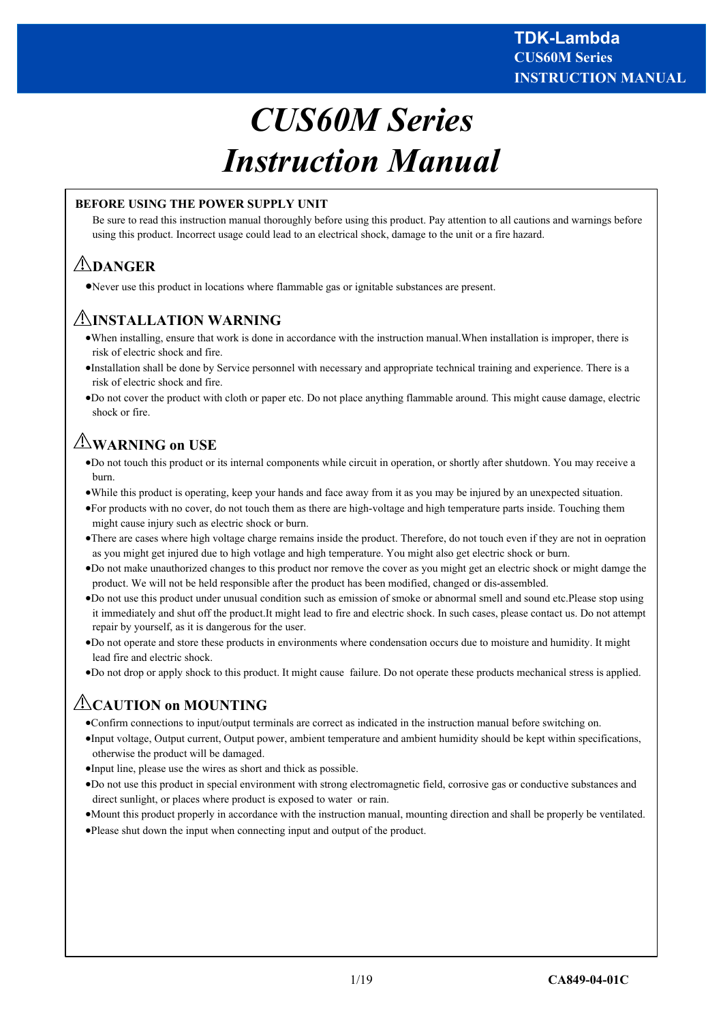# *CUS60M Series Instruction Manual*

# **BEFORE USING THE POWER SUPPLY UNIT**

Be sure to read this instruction manual thoroughly before using this product. Pay attention to all cautions and warnings before using this product. Incorrect usage could lead to an electrical shock, damage to the unit or a fire hazard.

# **DANGER**

Never use this product in locations where flammable gas or ignitable substances are present.

# **INSTALLATION WARNING**

- When installing, ensure that work is done in accordance with the instruction manual.When installation is improper, there is risk of electric shock and fire.
- Installation shall be done by Service personnel with necessary and appropriate technical training and experience. There is a risk of electric shock and fire.
- Do not cover the product with cloth or paper etc. Do not place anything flammable around. This might cause damage, electric shock or fire.

# **WARNING on USE**

- Do not touch this product or its internal components while circuit in operation, or shortly after shutdown. You may receive a burn.
- While this product is operating, keep your hands and face away from it as you may be injured by an unexpected situation.
- For products with no cover, do not touch them as there are high-voltage and high temperature parts inside. Touching them might cause injury such as electric shock or burn.
- There are cases where high voltage charge remains inside the product. Therefore, do not touch even if they are not in oepration as you might get injured due to high votlage and high temperature. You might also get electric shock or burn.
- Do not make unauthorized changes to this product nor remove the cover as you might get an electric shock or might damge the product. We will not be held responsible after the product has been modified, changed or dis-assembled.
- Do not use this product under unusual condition such as emission of smoke or abnormal smell and sound etc.Please stop using it immediately and shut off the product.It might lead to fire and electric shock. In such cases, please contact us. Do not attempt repair by yourself, as it is dangerous for the user.
- Do not operate and store these products in environments where condensation occurs due to moisture and humidity. It might lead fire and electric shock.
- Do not drop or apply shock to this product. It might cause failure. Do not operate these products mechanical stress is applied.

# **CAUTION on MOUNTING**

- Confirm connections to input/output terminals are correct as indicated in the instruction manual before switching on.
- Input voltage, Output current, Output power, ambient temperature and ambient humidity should be kept within specifications, otherwise the product will be damaged.
- Input line, please use the wires as short and thick as possible.
- Do not use this product in special environment with strong electromagnetic field, corrosive gas or conductive substances and direct sunlight, or places where product is exposed to water or rain.
- Mount this product properly in accordance with the instruction manual, mounting direction and shall be properly be ventilated.
- Please shut down the input when connecting input and output of the product.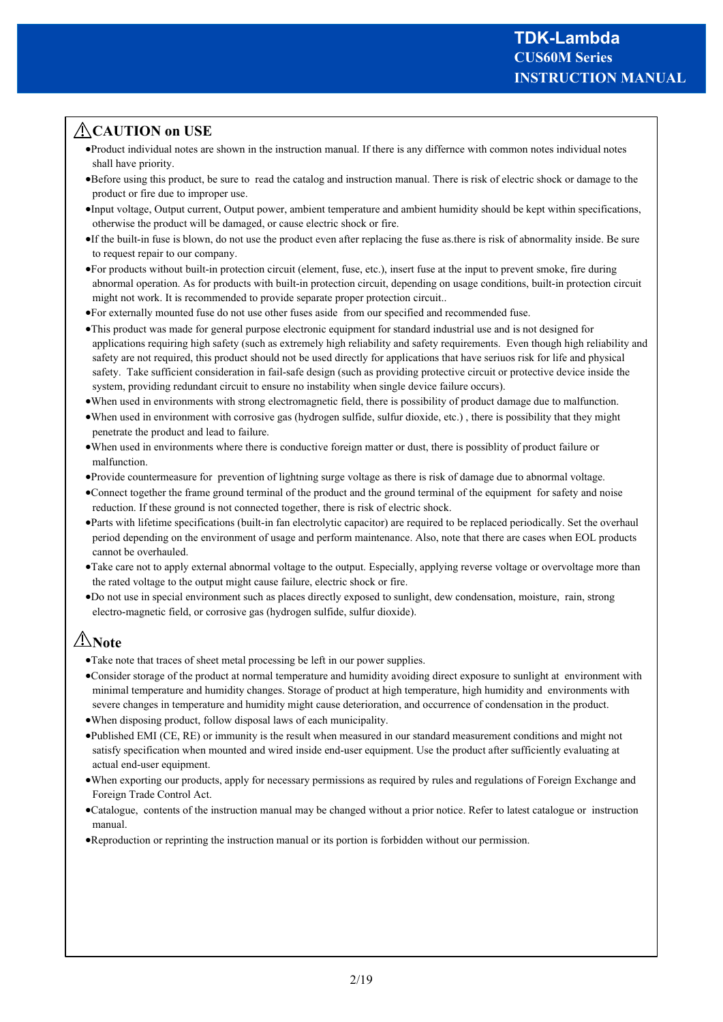# **CAUTION on USE**

- Product individual notes are shown in the instruction manual. If there is any differnce with common notes individual notes shall have priority.
- Before using this product, be sure to read the catalog and instruction manual. There is risk of electric shock or damage to the product or fire due to improper use.
- Input voltage, Output current, Output power, ambient temperature and ambient humidity should be kept within specifications, otherwise the product will be damaged, or cause electric shock or fire.
- If the built-in fuse is blown, do not use the product even after replacing the fuse as.there is risk of abnormality inside. Be sure to request repair to our company.
- For products without built-in protection circuit (element, fuse, etc.), insert fuse at the input to prevent smoke, fire during abnormal operation. As for products with built-in protection circuit, depending on usage conditions, built-in protection circuit might not work. It is recommended to provide separate proper protection circuit..
- For externally mounted fuse do not use other fuses aside from our specified and recommended fuse.
- This product was made for general purpose electronic equipment for standard industrial use and is not designed for applications requiring high safety (such as extremely high reliability and safety requirements. Even though high reliability and safety are not required, this product should not be used directly for applications that have seriuos risk for life and physical safety. Take sufficient consideration in fail-safe design (such as providing protective circuit or protective device inside the system, providing redundant circuit to ensure no instability when single device failure occurs).
- When used in environments with strong electromagnetic field, there is possibility of product damage due to malfunction.
- When used in environment with corrosive gas (hydrogen sulfide, sulfur dioxide, etc.) , there is possibility that they might penetrate the product and lead to failure.
- When used in environments where there is conductive foreign matter or dust, there is possiblity of product failure or malfunction.
- Provide countermeasure for prevention of lightning surge voltage as there is risk of damage due to abnormal voltage.
- Connect together the frame ground terminal of the product and the ground terminal of the equipment for safety and noise reduction. If these ground is not connected together, there is risk of electric shock.
- Parts with lifetime specifications (built-in fan electrolytic capacitor) are required to be replaced periodically. Set the overhaul period depending on the environment of usage and perform maintenance. Also, note that there are cases when EOL products cannot be overhauled.
- Take care not to apply external abnormal voltage to the output. Especially, applying reverse voltage or overvoltage more than the rated voltage to the output might cause failure, electric shock or fire.
- Do not use in special environment such as places directly exposed to sunlight, dew condensation, moisture, rain, strong electro-magnetic field, or corrosive gas (hydrogen sulfide, sulfur dioxide).

# **Note**

- Take note that traces of sheet metal processing be left in our power supplies.
- Consider storage of the product at normal temperature and humidity avoiding direct exposure to sunlight at environment with minimal temperature and humidity changes. Storage of product at high temperature, high humidity and environments with severe changes in temperature and humidity might cause deterioration, and occurrence of condensation in the product.
- When disposing product, follow disposal laws of each municipality.
- Published EMI (CE, RE) or immunity is the result when measured in our standard measurement conditions and might not satisfy specification when mounted and wired inside end-user equipment. Use the product after sufficiently evaluating at actual end-user equipment.
- When exporting our products, apply for necessary permissions as required by rules and regulations of Foreign Exchange and Foreign Trade Control Act.
- Catalogue, contents of the instruction manual may be changed without a prior notice. Refer to latest catalogue or instruction manual.
- Reproduction or reprinting the instruction manual or its portion is forbidden without our permission.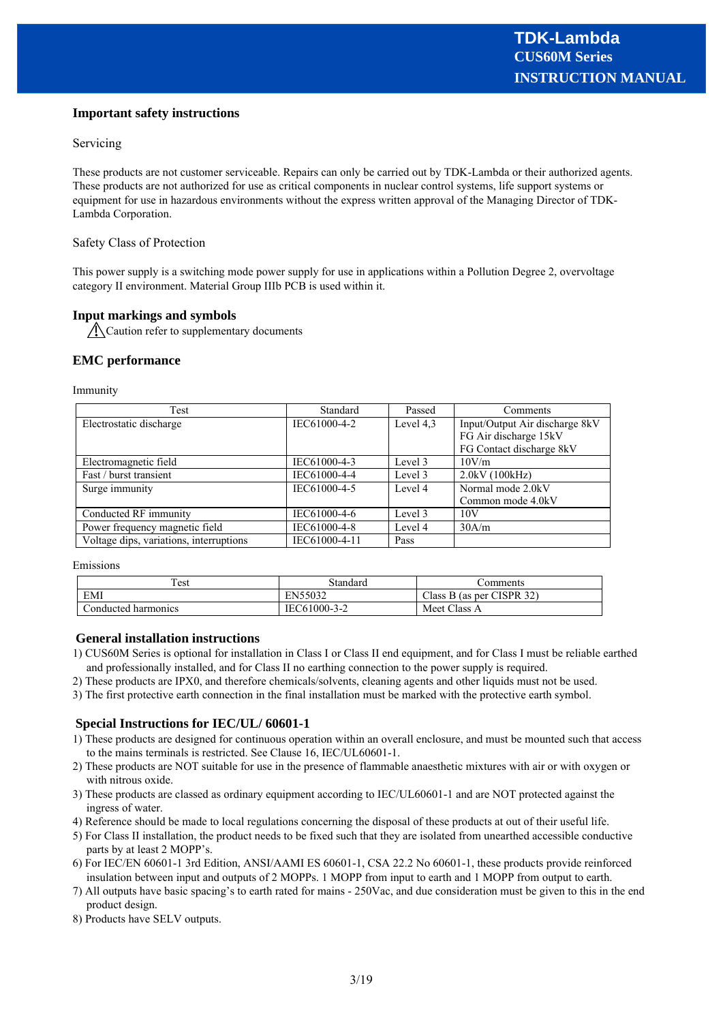## **Important safety instructions**

#### Servicing

These products are not customer serviceable. Repairs can only be carried out by TDK-Lambda or their authorized agents. These products are not authorized for use as critical components in nuclear control systems, life support systems or equipment for use in hazardous environments without the express written approval of the Managing Director of TDK-Lambda Corporation.

#### Safety Class of Protection

This power supply is a switching mode power supply for use in applications within a Pollution Degree 2, overvoltage category II environment. Material Group IIIb PCB is used within it.

## **Input markings and symbols**

Caution refer to supplementary documents

#### **EMC performance**

Immunity

| Test                                    | Standard      | Passed    | Comments                       |
|-----------------------------------------|---------------|-----------|--------------------------------|
| Electrostatic discharge                 | IEC61000-4-2  | Level 4,3 | Input/Output Air discharge 8kV |
|                                         |               |           | FG Air discharge 15kV          |
|                                         |               |           | FG Contact discharge 8kV       |
| Electromagnetic field                   | IEC61000-4-3  | Level 3   | 10V/m                          |
| Fast / burst transient                  | IEC61000-4-4  | Level 3   | 2.0kV(100kHz)                  |
| Surge immunity                          | IEC61000-4-5  | Level 4   | Normal mode 2.0kV              |
|                                         |               |           | Common mode 4.0kV              |
| Conducted RF immunity                   | IEC61000-4-6  | Level 3   | 10V                            |
| Power frequency magnetic field          | IEC61000-4-8  | Level 4   | 30A/m                          |
| Voltage dips, variations, interruptions | IEC61000-4-11 | Pass      |                                |

Emissions

| Test                 | Standard     | .`omments                 |
|----------------------|--------------|---------------------------|
| EMI                  | EN55032      | Class B (as per CISPR 32) |
| Conducted harmonics. | IEC61000-3-2 | Meet Class A              |

#### **General installation instructions**

- 1) CUS60M Series is optional for installation in Class I or Class II end equipment, and for Class I must be reliable earthed and professionally installed, and for Class II no earthing connection to the power supply is required.
- 2) These products are IPX0, and therefore chemicals/solvents, cleaning agents and other liquids must not be used.
- 3) The first protective earth connection in the final installation must be marked with the protective earth symbol.

#### **Special Instructions for IEC/UL/ 60601-1**

- 1) These products are designed for continuous operation within an overall enclosure, and must be mounted such that access to the mains terminals is restricted. See Clause 16, IEC/UL60601-1.
- 2) These products are NOT suitable for use in the presence of flammable anaesthetic mixtures with air or with oxygen or with nitrous oxide.
- 3) These products are classed as ordinary equipment according to IEC/UL60601-1 and are NOT protected against the ingress of water.
- 4) Reference should be made to local regulations concerning the disposal of these products at out of their useful life.
- 5) For Class II installation, the product needs to be fixed such that they are isolated from unearthed accessible conductive parts by at least 2 MOPP's.
- 6) For IEC/EN 60601-1 3rd Edition, ANSI/AAMI ES 60601-1, CSA 22.2 No 60601-1, these products provide reinforced insulation between input and outputs of 2 MOPPs. 1 MOPP from input to earth and 1 MOPP from output to earth.
- 7) All outputs have basic spacing's to earth rated for mains 250Vac, and due consideration must be given to this in the end product design.
- 8) Products have SELV outputs.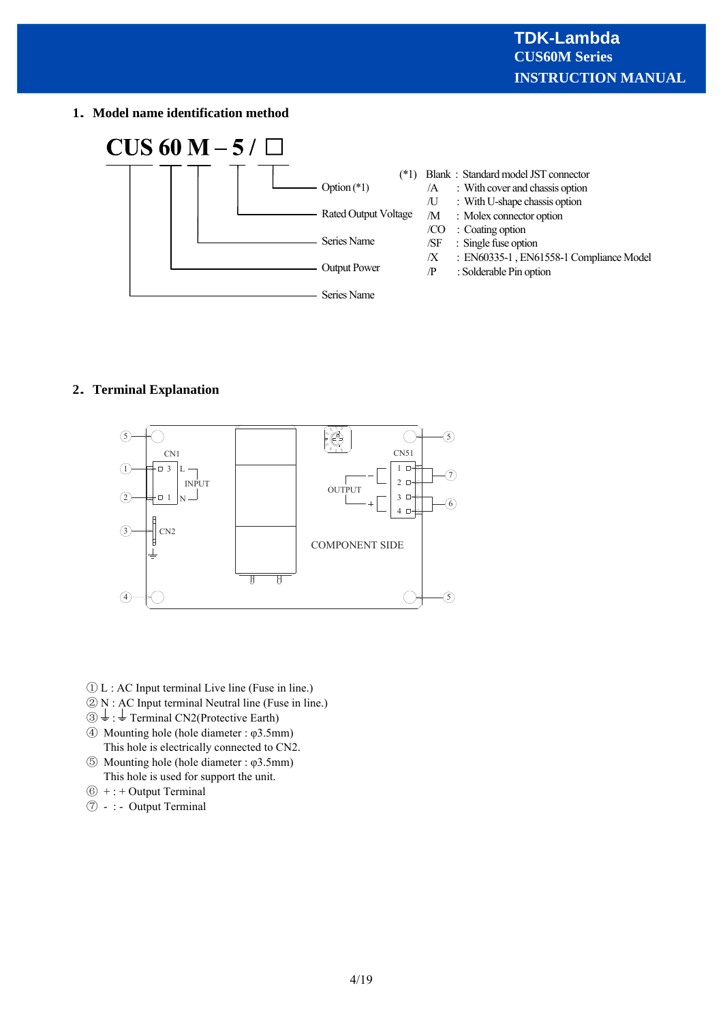**1 Model name identification method**



# **2 Terminal Explanation**



- ① L : AC Input terminal Live line (Fuse in line.)
- ② N : AC Input terminal Neutral line (Fuse in line.)
- $\textcircled{3} \perp \text{ :} \perp$  Terminal CN2(Protective Earth)
- ④ Mounting hole (hole diameter : φ3.5mm) This hole is electrically connected to CN2.
- ⑤ Mounting hole (hole diameter : φ3.5mm) This hole is used for support the unit.
- $(6)$  + : + Output Terminal
- ⑦ : Output Terminal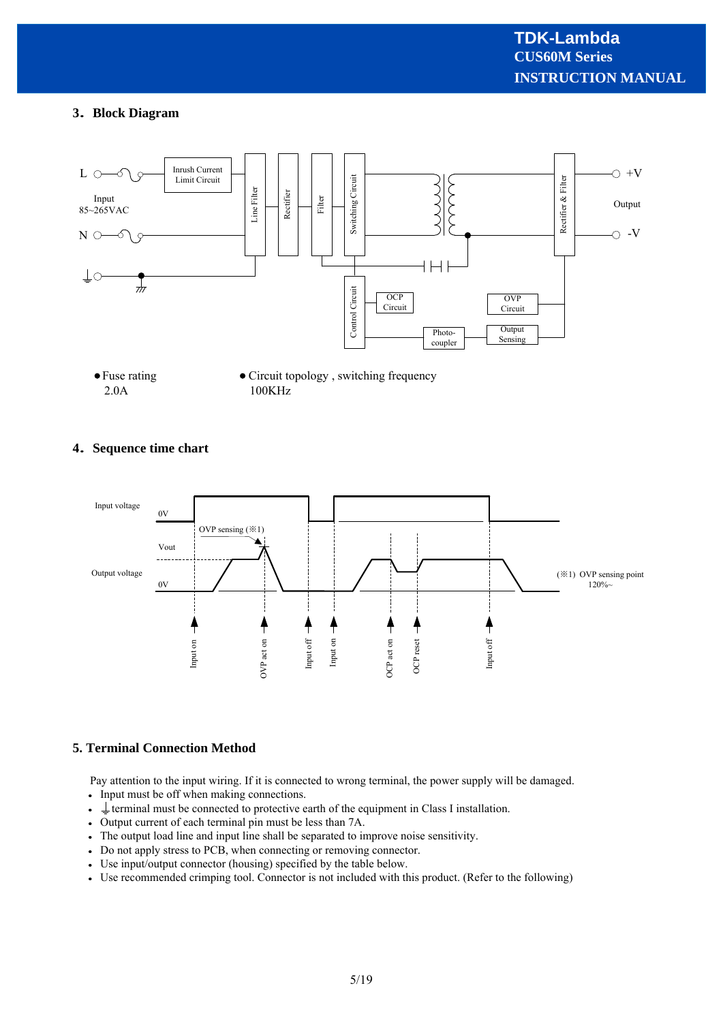# **3 Block Diagram**



# **4 Sequence time chart**



# **5. Terminal Connection Method**

Pay attention to the input wiring. If it is connected to wrong terminal, the power supply will be damaged.

- Input must be off when making connections.
- $\bullet \perp$  terminal must be connected to protective earth of the equipment in Class I installation.
- Output current of each terminal pin must be less than 7A.
- The output load line and input line shall be separated to improve noise sensitivity.
- Do not apply stress to PCB, when connecting or removing connector.
- Use input/output connector (housing) specified by the table below.
- Use recommended crimping tool. Connector is not included with this product. (Refer to the following)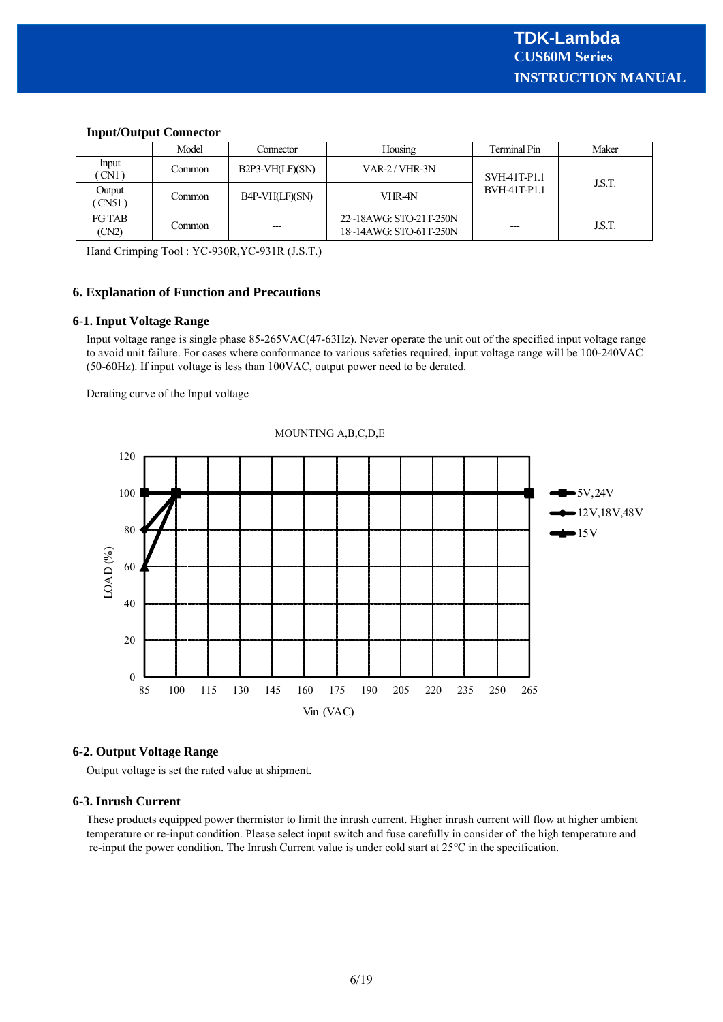|                        | Model    | Connector       | Housing                                          | Terminal Pin | Maker  |
|------------------------|----------|-----------------|--------------------------------------------------|--------------|--------|
| Input<br>CN1           | Common   | B2P3-VH(LF)(SN) | $VAR-2 / VHR-3N$                                 | SVH-41T-P1.1 | J.S.T. |
| Output<br>CN51         | Common   | B4P-VH(LF)(SN)  | VHR-4N                                           | BVH-41T-P1.1 |        |
| <b>FG TAB</b><br>(CN2) | Common : | ---             | 22~18AWG: STO-21T-250N<br>18~14AWG: STO-61T-250N |              | J.S.T. |

#### **Input/Output Connector**

Hand Crimping Tool : YC-930R,YC-931R (J.S.T.)

## **6. Explanation of Function and Precautions**

#### **6-1. Input Voltage Range**

Input voltage range is single phase 85-265VAC(47-63Hz). Never operate the unit out of the specified input voltage range to avoid unit failure. For cases where conformance to various safeties required, input voltage range will be 100-240VAC (50-60Hz). If input voltage is less than 100VAC, output power need to be derated.

Derating curve of the Input voltage



#### MOUNTING A,B,C,D,E

# **6-2. Output Voltage Range**

Output voltage is set the rated value at shipment.

# **6-3. Inrush Current**

These products equipped power thermistor to limit the inrush current. Higher inrush current will flow at higher ambient temperature or re-input condition. Please select input switch and fuse carefully in consider of the high temperature and re-input the power condition. The Inrush Current value is under cold start at 25℃ in the specification.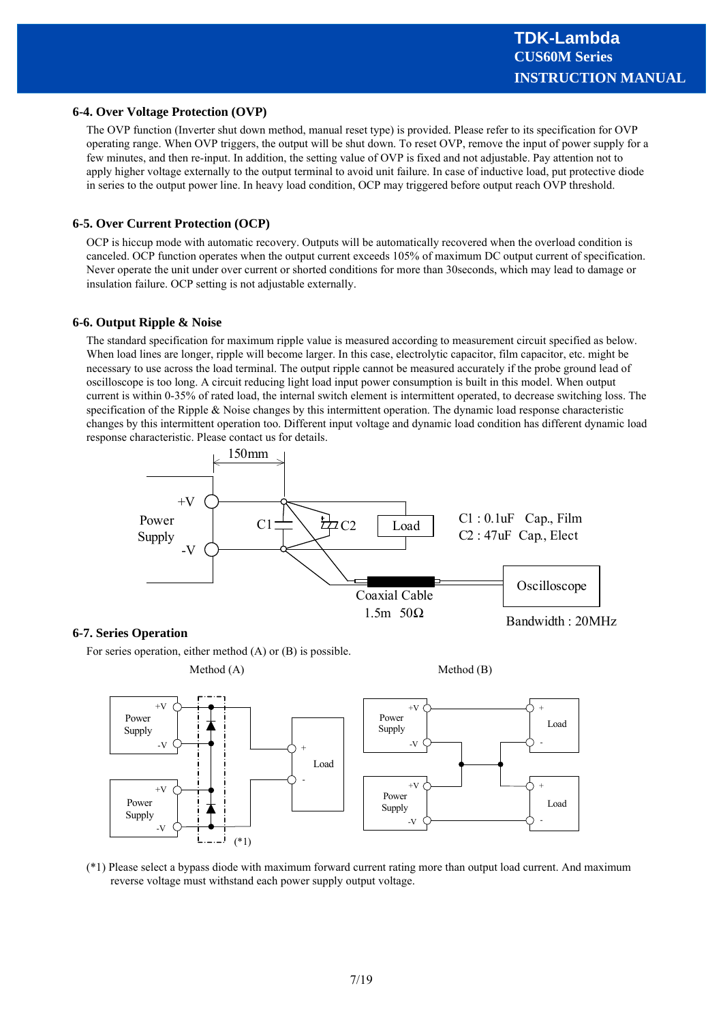#### **6-4. Over Voltage Protection (OVP)**

The OVP function (Inverter shut down method, manual reset type) is provided. Please refer to its specification for OVP operating range. When OVP triggers, the output will be shut down. To reset OVP, remove the input of power supply for a few minutes, and then re-input. In addition, the setting value of OVP is fixed and not adjustable. Pay attention not to apply higher voltage externally to the output terminal to avoid unit failure. In case of inductive load, put protective diode in series to the output power line. In heavy load condition, OCP may triggered before output reach OVP threshold.

#### **6-5. Over Current Protection (OCP)**

OCP is hiccup mode with automatic recovery. Outputs will be automatically recovered when the overload condition is canceled. OCP function operates when the output current exceeds 105% of maximum DC output current of specification. Never operate the unit under over current or shorted conditions for more than 30seconds, which may lead to damage or insulation failure. OCP setting is not adjustable externally.

#### **6-6. Output Ripple & Noise**

The standard specification for maximum ripple value is measured according to measurement circuit specified as below. When load lines are longer, ripple will become larger. In this case, electrolytic capacitor, film capacitor, etc. might be necessary to use across the load terminal. The output ripple cannot be measured accurately if the probe ground lead of oscilloscope is too long. A circuit reducing light load input power consumption is built in this model. When output current is within 0-35% of rated load, the internal switch element is intermittent operated, to decrease switching loss. The specification of the Ripple & Noise changes by this intermittent operation. The dynamic load response characteristic changes by this intermittent operation too. Different input voltage and dynamic load condition has different dynamic load response characteristic. Please contact us for details.



#### **6-7. Series Operation**

For series operation, either method (A) or (B) is possible.



(\*1) Please select a bypass diode with maximum forward current rating more than output load current. And maximum reverse voltage must withstand each power supply output voltage.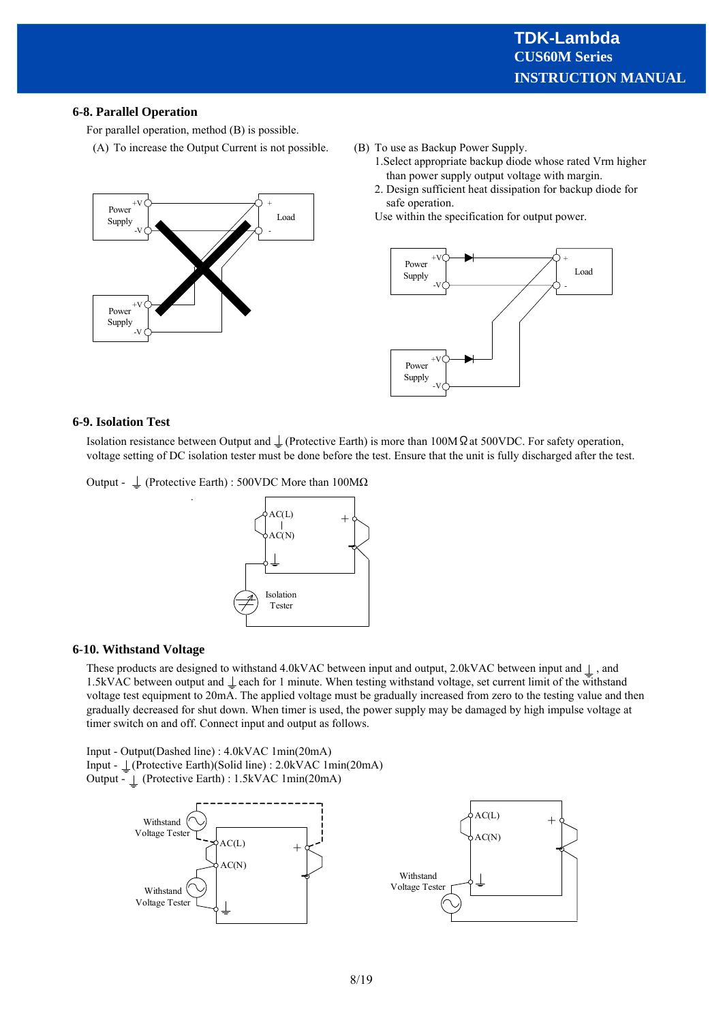# **6-8. Parallel Operation**

For parallel operation, method (B) is possible.

(A) To increase the Output Current is not possible.



- (B) To use as Backup Power Supply.
	- 1.Select appropriate backup diode whose rated Vrm higher than power supply output voltage with margin.
	- 2. Design sufficient heat dissipation for backup diode for safe operation.

Use within the specification for output power.



#### **6-9. Isolation Test**

Isolation resistance between Output and  $\perp$  (Protective Earth) is more than 100M  $\Omega$  at 500VDC. For safety operation, voltage setting of DC isolation tester must be done before the test. Ensure that the unit is fully discharged after the test.

Output -  $\perp$  (Protective Earth) : 500VDC More than 100M $\Omega$ 

.



#### **6-10. Withstand Voltage**

These products are designed to withstand 4.0kVAC between input and output, 2.0kVAC between input and  $\perp$ , and 1.5kVAC between output and  $\perp$  each for 1 minute. When testing withstand voltage, set current limit of the withstand voltage test equipment to 20mA. The applied voltage must be gradually increased from zero to the testing value and then gradually decreased for shut down. When timer is used, the power supply may be damaged by high impulse voltage at timer switch on and off. Connect input and output as follows.

Input - Output(Dashed line) : 4.0kVAC 1min(20mA) Input - (Protective Earth)(Solid line) : 2.0kVAC 1min(20mA) Output - (Protective Earth) : 1.5kVAC 1min(20mA)

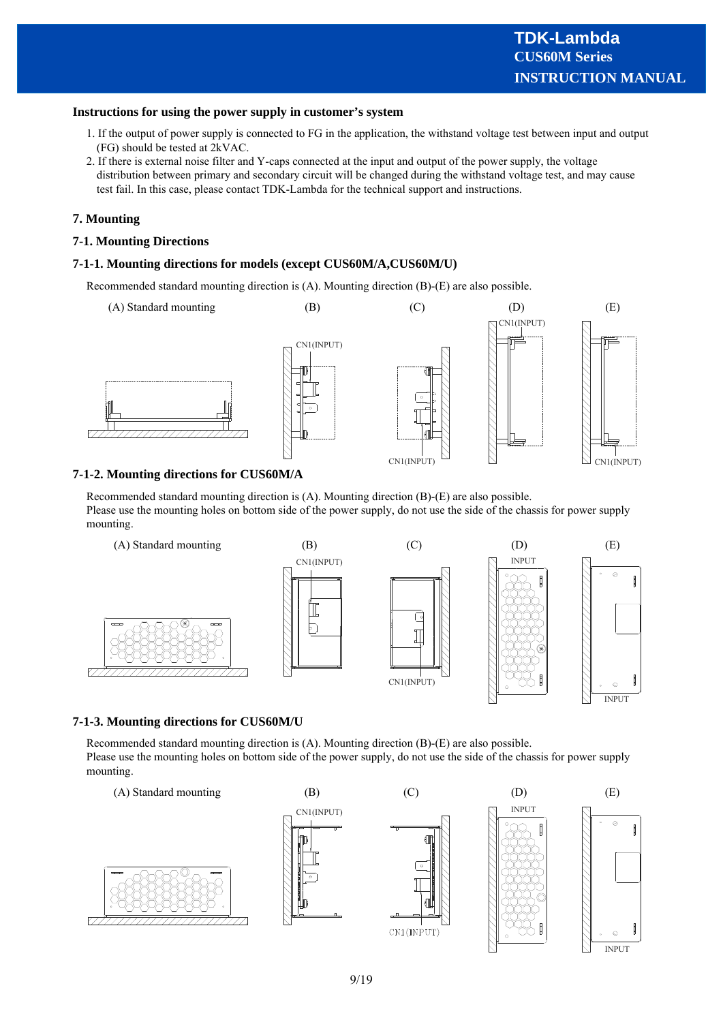#### **Instructions for using the power supply in customer's system**

- 1. If the output of power supply is connected to FG in the application, the withstand voltage test between input and output (FG) should be tested at 2kVAC.
- 2. If there is external noise filter and Y-caps connected at the input and output of the power supply, the voltage distribution between primary and secondary circuit will be changed during the withstand voltage test, and may cause test fail. In this case, please contact TDK-Lambda for the technical support and instructions.

#### **7. Mounting**

#### **7-1. Mounting Directions**

#### **7-1-1. Mounting directions for models (except CUS60M/A,CUS60M/U)**

Recommended standard mounting direction is (A). Mounting direction (B)-(E) are also possible.



## **7-1-2. Mounting directions for CUS60M/A**

Recommended standard mounting direction is (A). Mounting direction (B)-(E) are also possible. Please use the mounting holes on bottom side of the power supply, do not use the side of the chassis for power supply mounting.



#### **7-1-3. Mounting directions for CUS60M/U**

Recommended standard mounting direction is (A). Mounting direction (B)-(E) are also possible. Please use the mounting holes on bottom side of the power supply, do not use the side of the chassis for power supply mounting.

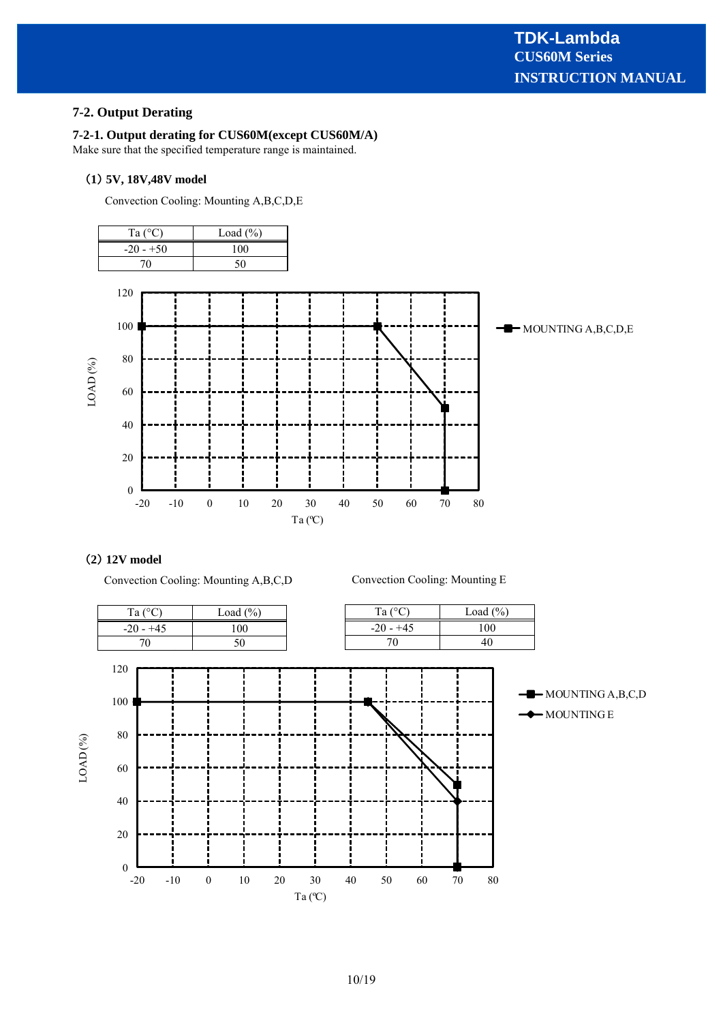# **7-2. Output Derating**

## **7-2-1. Output derating for CUS60M(except CUS60M/A)**

Make sure that the specified temperature range is maintained.

#### **1 5V, 18V,48V model**

Convection Cooling: Mounting A,B,C,D,E



## **2 12V model**

Convection Cooling: Mounting A,B,C,D

Convection Cooling: Mounting E

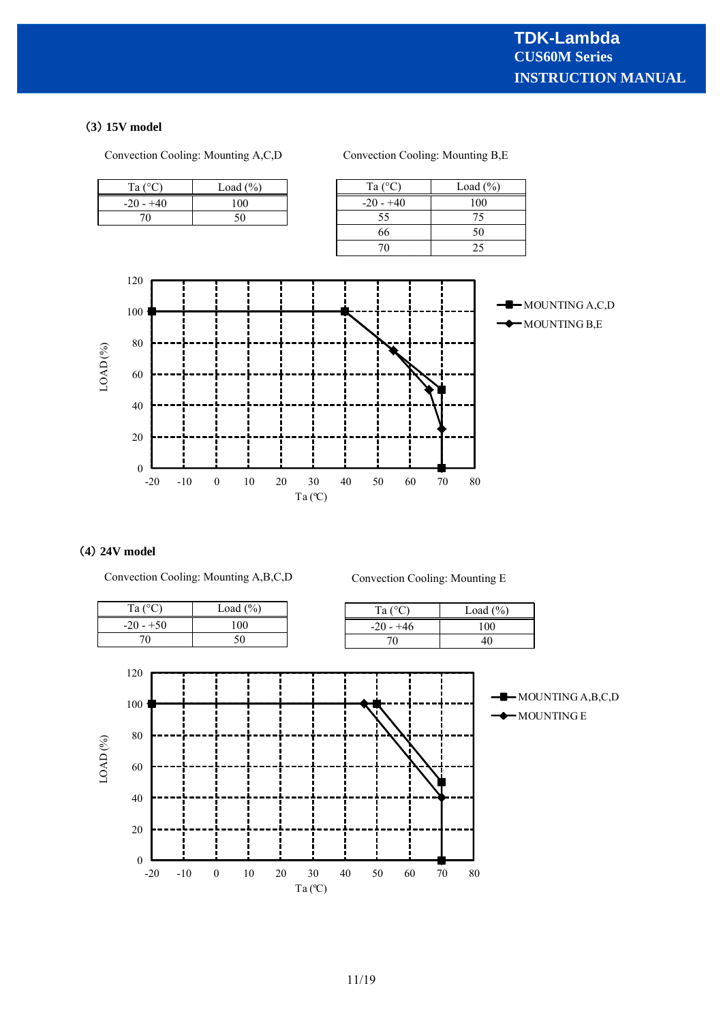# **3 15V model**



# **4 24V model**

Convection Cooling: Mounting A,B,C,D

Convection Cooling: Mounting E

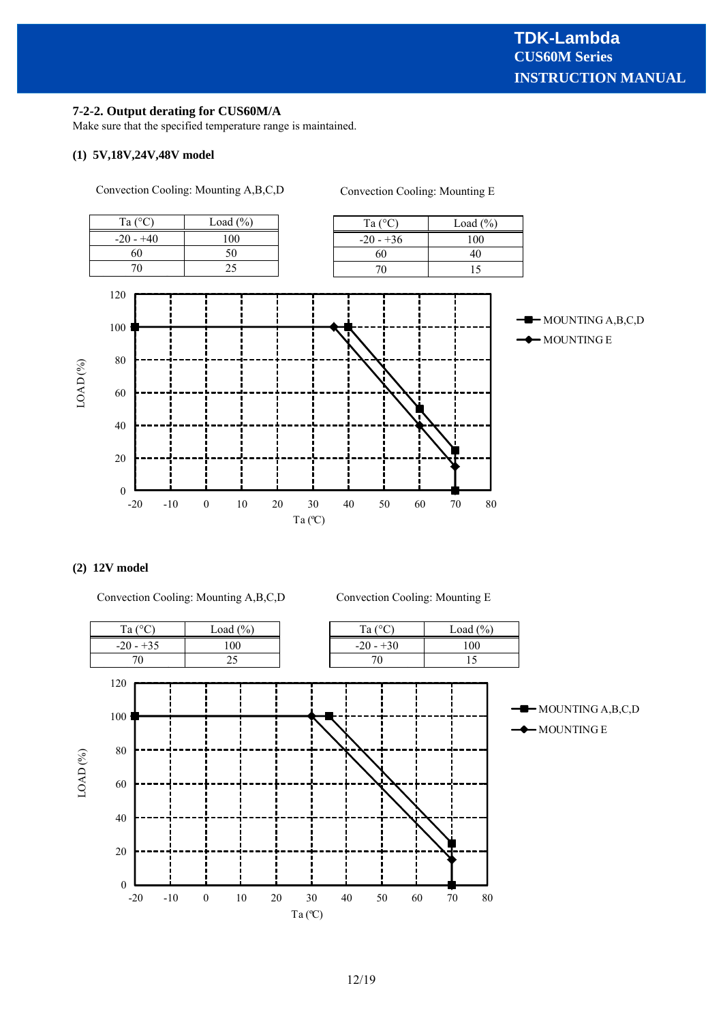#### **7-2-2. Output derating for CUS60M/A**

Make sure that the specified temperature range is maintained.

# **(1) 5V,18V,24V,48V model**



## **(2) 12V model**

Convection Cooling: Mounting A,B,C,D

Convection Cooling: Mounting E

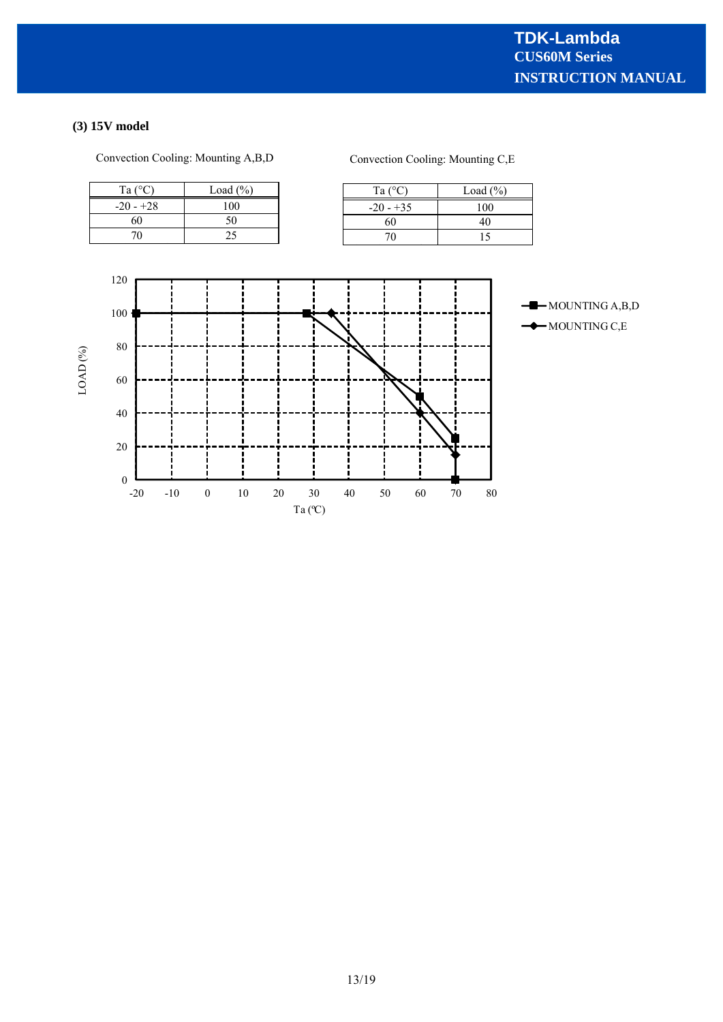# **(3) 15V model**

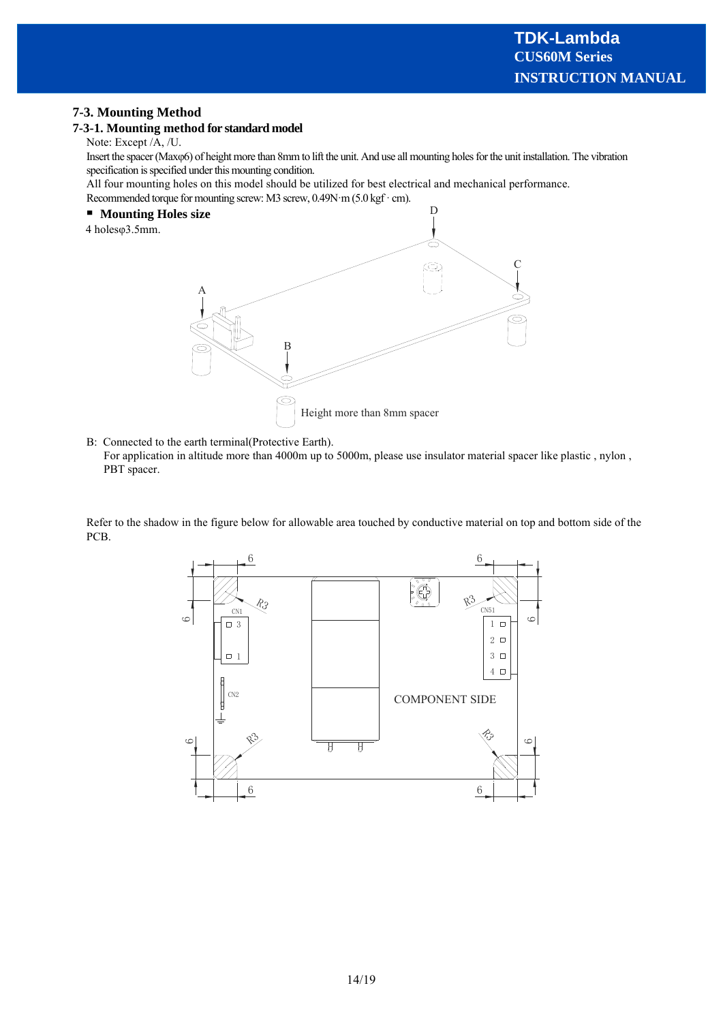# **7-3. Mounting Method**

## **7-3-1. Mounting method for standard model**

Note: Except /A, /U.

Insert the spacer (Maxφ6) of height more than 8mm to lift the unit. And use all mounting holes for the unit installation. The vibration specification is specified under this mounting condition.

All four mounting holes on this model should be utilized for best electrical and mechanical performance.

Recommended torque for mounting screw: M3 screw, 0.49N·m (5.0 kgf · cm).

## **Mounting Holes size**





B: Connected to the earth terminal(Protective Earth).

For application in altitude more than 4000m up to 5000m, please use insulator material spacer like plastic , nylon , PBT spacer.

Refer to the shadow in the figure below for allowable area touched by conductive material on top and bottom side of the PCB.

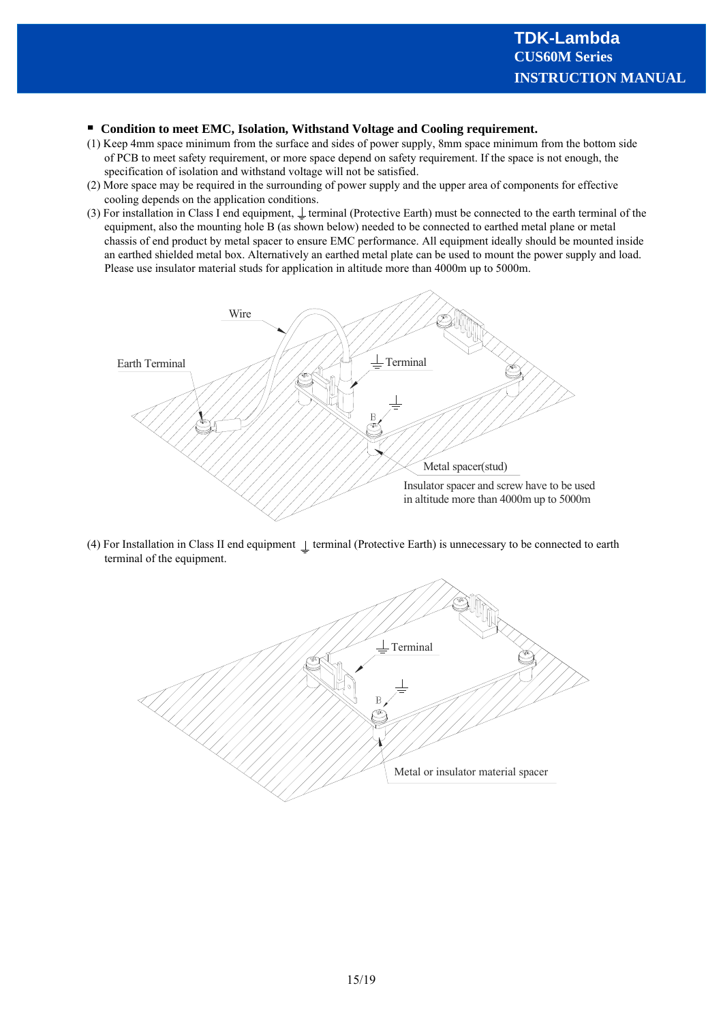#### **Condition to meet EMC, Isolation, Withstand Voltage and Cooling requirement.**

- (1) Keep 4mm space minimum from the surface and sides of power supply, 8mm space minimum from the bottom side of PCB to meet safety requirement, or more space depend on safety requirement. If the space is not enough, the specification of isolation and withstand voltage will not be satisfied.
- (2) More space may be required in the surrounding of power supply and the upper area of components for effective cooling depends on the application conditions.
- (3) For installation in Class I end equipment,  $\perp$  terminal (Protective Earth) must be connected to the earth terminal of the equipment, also the mounting hole B (as shown below) needed to be connected to earthed metal plane or metal chassis of end product by metal spacer to ensure EMC performance. All equipment ideally should be mounted inside an earthed shielded metal box. Alternatively an earthed metal plate can be used to mount the power supply and load. Please use insulator material studs for application in altitude more than 4000m up to 5000m.



(4) For Installation in Class II end equipment  $\perp$  terminal (Protective Earth) is unnecessary to be connected to earth terminal of the equipment.

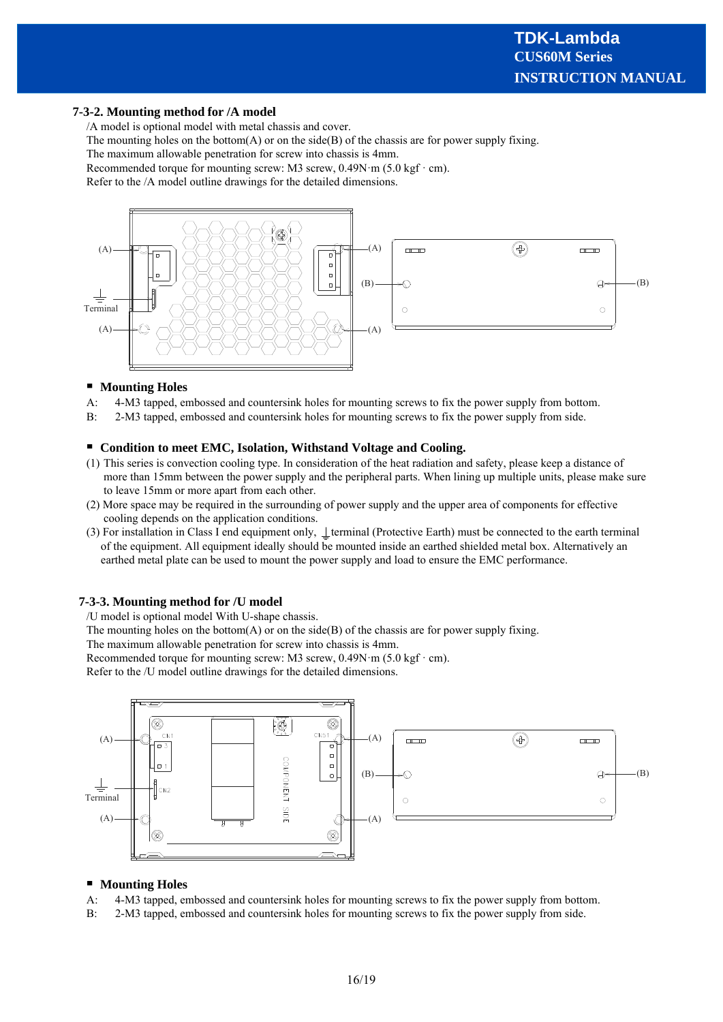#### **7-3-2. Mounting method for /A model**

/A model is optional model with metal chassis and cover.

The mounting holes on the bottom(A) or on the side(B) of the chassis are for power supply fixing.

The maximum allowable penetration for screw into chassis is 4mm.

Recommended torque for mounting screw: M3 screw,  $0.49N \cdot m$  (5.0 kgf $\cdot$  cm).

Refer to the /A model outline drawings for the detailed dimensions.



#### **Mounting Holes**

- A: 4-M3 tapped, embossed and countersink holes for mounting screws to fix the power supply from bottom.
- B: 2-M3 tapped, embossed and countersink holes for mounting screws to fix the power supply from side.

#### **Condition to meet EMC, Isolation, Withstand Voltage and Cooling.**

- (1) This series is convection cooling type. In consideration of the heat radiation and safety, please keep a distance of more than 15mm between the power supply and the peripheral parts. When lining up multiple units, please make sure to leave 15mm or more apart from each other.
- (2) More space may be required in the surrounding of power supply and the upper area of components for effective cooling depends on the application conditions.
- (3) For installation in Class I end equipment only,  $\bot$  terminal (Protective Earth) must be connected to the earth terminal of the equipment. All equipment ideally should be mounted inside an earthed shielded metal box. Alternatively an earthed metal plate can be used to mount the power supply and load to ensure the EMC performance.

#### **7-3-3. Mounting method for /U model**

/U model is optional model With U-shape chassis.

The mounting holes on the bottom $(A)$  or on the side $(B)$  of the chassis are for power supply fixing.

The maximum allowable penetration for screw into chassis is 4mm.

Recommended torque for mounting screw: M3 screw,  $0.49N \cdot m$  (5.0 kgf $\cdot$  cm).

Refer to the /U model outline drawings for the detailed dimensions.



#### **Mounting Holes**

- A: 4-M3 tapped, embossed and countersink holes for mounting screws to fix the power supply from bottom.
- B: 2-M3 tapped, embossed and countersink holes for mounting screws to fix the power supply from side.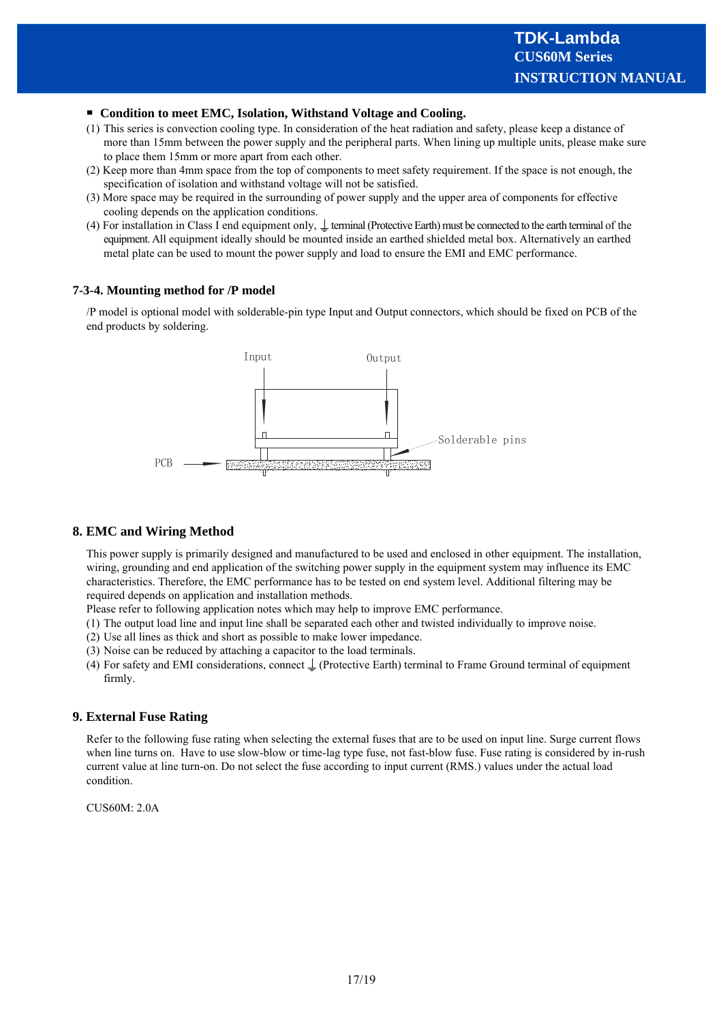#### **Condition to meet EMC, Isolation, Withstand Voltage and Cooling.**

- (1) This series is convection cooling type. In consideration of the heat radiation and safety, please keep a distance of more than 15mm between the power supply and the peripheral parts. When lining up multiple units, please make sure to place them 15mm or more apart from each other.
- (2) Keep more than 4mm space from the top of components to meet safety requirement. If the space is not enough, the specification of isolation and withstand voltage will not be satisfied.
- (3) More space may be required in the surrounding of power supply and the upper area of components for effective cooling depends on the application conditions.
- (4) For installation in Class I end equipment only,  $\perp$  terminal (Protective Earth) must be connected to the earth terminal of the equipment. All equipment ideally should be mounted inside an earthed shielded metal box. Alternatively an earthed metal plate can be used to mount the power supply and load to ensure the EMI and EMC performance.

## **7-3-4. Mounting method for /P model**

/P model is optional model with solderable-pin type Input and Output connectors, which should be fixed on PCB of the end products by soldering.



# **8. EMC and Wiring Method**

This power supply is primarily designed and manufactured to be used and enclosed in other equipment. The installation, wiring, grounding and end application of the switching power supply in the equipment system may influence its EMC characteristics. Therefore, the EMC performance has to be tested on end system level. Additional filtering may be required depends on application and installation methods.

Please refer to following application notes which may help to improve EMC performance.

- (1) The output load line and input line shall be separated each other and twisted individually to improve noise.
- (2) Use all lines as thick and short as possible to make lower impedance.
- (3) Noise can be reduced by attaching a capacitor to the load terminals.
- (4) For safety and EMI considerations, connect  $\perp$  (Protective Earth) terminal to Frame Ground terminal of equipment firmly.

#### **9. External Fuse Rating**

Refer to the following fuse rating when selecting the external fuses that are to be used on input line. Surge current flows when line turns on. Have to use slow-blow or time-lag type fuse, not fast-blow fuse. Fuse rating is considered by in-rush current value at line turn-on. Do not select the fuse according to input current (RMS.) values under the actual load condition.

CUS60M: 2.0A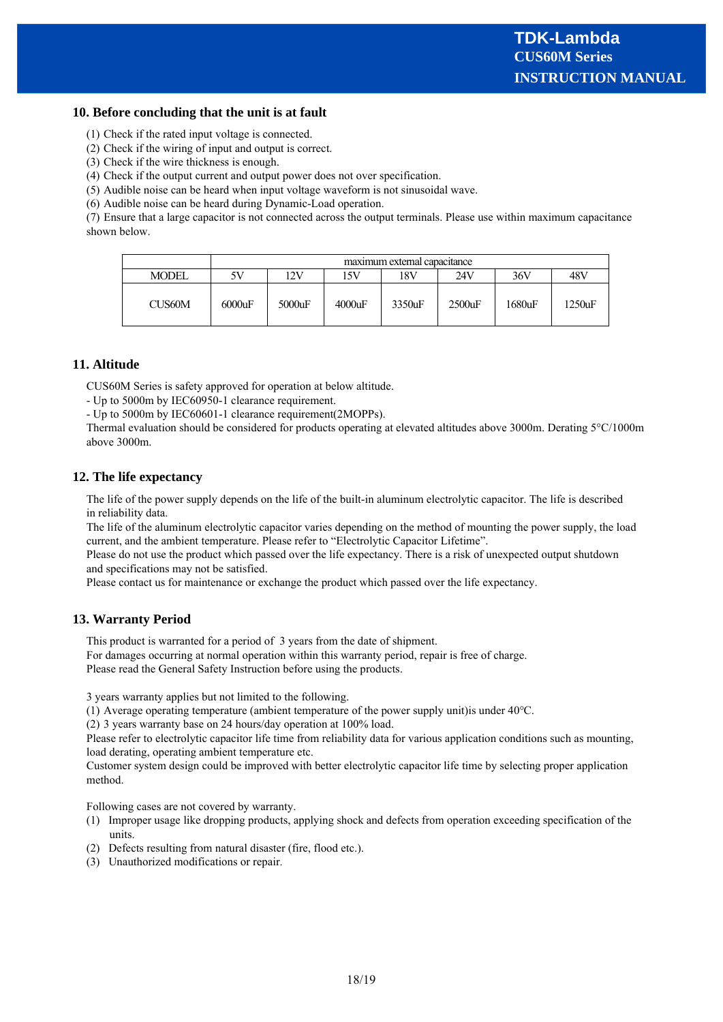#### **10. Before concluding that the unit is at fault**

- (1) Check if the rated input voltage is connected.
- (2) Check if the wiring of input and output is correct.
- (3) Check if the wire thickness is enough.
- (4) Check if the output current and output power does not over specification.
- (5) Audible noise can be heard when input voltage waveform is not sinusoidal wave.
- (6) Audible noise can be heard during Dynamic-Load operation.

(7) Ensure that a large capacitor is not connected across the output terminals. Please use within maximum capacitance shown below.

|              | maximum external capacitance |           |        |        |           |        |        |
|--------------|------------------------------|-----------|--------|--------|-----------|--------|--------|
| <b>MODEL</b> | 5V                           | 12V       | 15V    | 18V    | 24V       | 36V    | 48V    |
| CUS60M       | 6000uF                       | $5000$ uF | 4000uF | 3350uF | $2500$ uF | 1680uF | 1250uF |

## **11. Altitude**

CUS60M Series is safety approved for operation at below altitude.

- Up to 5000m by IEC60950-1 clearance requirement.
- Up to 5000m by IEC60601-1 clearance requirement(2MOPPs).

Thermal evaluation should be considered for products operating at elevated altitudes above 3000m. Derating 5°C/1000m above 3000m.

#### **12. The life expectancy**

The life of the power supply depends on the life of the built-in aluminum electrolytic capacitor. The life is described in reliability data.

The life of the aluminum electrolytic capacitor varies depending on the method of mounting the power supply, the load current, and the ambient temperature. Please refer to "Electrolytic Capacitor Lifetime".

Please do not use the product which passed over the life expectancy. There is a risk of unexpected output shutdown and specifications may not be satisfied.

Please contact us for maintenance or exchange the product which passed over the life expectancy.

#### **13. Warranty Period**

This product is warranted for a period of 3 years from the date of shipment.

For damages occurring at normal operation within this warranty period, repair is free of charge. Please read the General Safety Instruction before using the products.

3 years warranty applies but not limited to the following.

(1) Average operating temperature (ambient temperature of the power supply unit)is under 40℃.

(2) 3 years warranty base on 24 hours/day operation at 100% load.

Please refer to electrolytic capacitor life time from reliability data for various application conditions such as mounting, load derating, operating ambient temperature etc.

Customer system design could be improved with better electrolytic capacitor life time by selecting proper application method.

Following cases are not covered by warranty.

- (1) Improper usage like dropping products, applying shock and defects from operation exceeding specification of the units.
- (2) Defects resulting from natural disaster (fire, flood etc.).
- (3) Unauthorized modifications or repair.